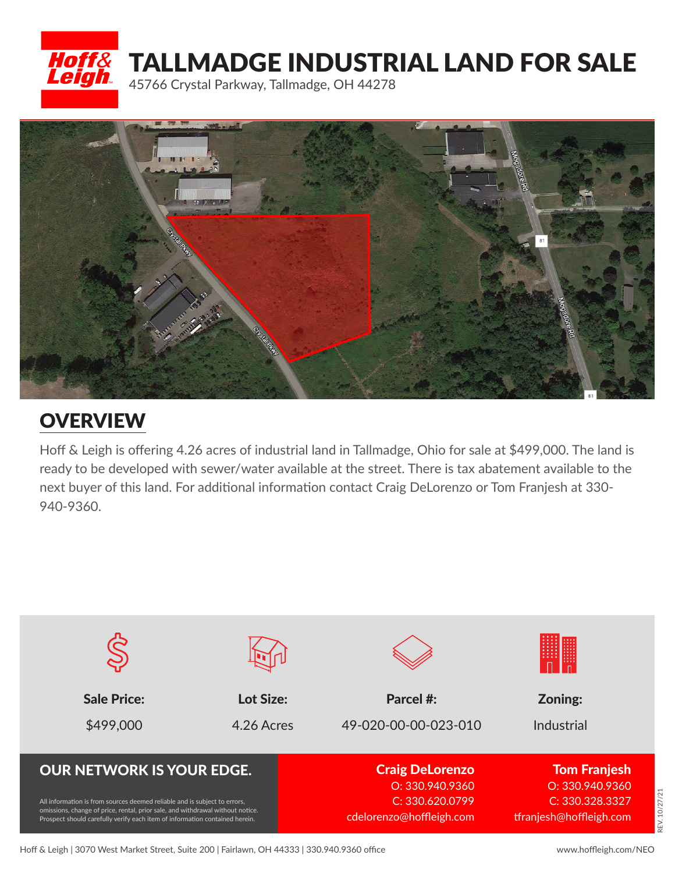



## **OVERVIEW**

Hoff & Leigh is offering 4.26 acres of industrial land in Tallmadge, Ohio for sale at \$499,000. The land is ready to be developed with sewer/water available at the street. There is tax abatement available to the next buyer of this land. For additional information contact Craig DeLorenzo or Tom Franjesh at 330- 940-9360.



REV. 10/27/21

**LEV. 10/27/21**